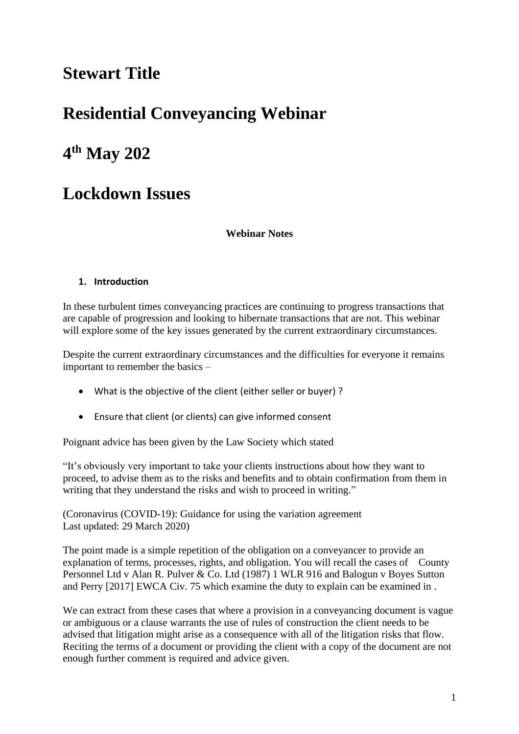# **Stewart Title**

# **Residential Conveyancing Webinar**

# **4 th May 202**

# **Lockdown Issues**

**Webinar Notes** 

## **1. Introduction**

In these turbulent times conveyancing practices are continuing to progress transactions that are capable of progression and looking to hibernate transactions that are not. This webinar will explore some of the key issues generated by the current extraordinary circumstances.

Despite the current extraordinary circumstances and the difficulties for everyone it remains important to remember the basics –

- What is the objective of the client (either seller or buyer) ?
- Ensure that client (or clients) can give informed consent

Poignant advice has been given by the Law Society which stated

"It's obviously very important to take your clients instructions about how they want to proceed, to advise them as to the risks and benefits and to obtain confirmation from them in writing that they understand the risks and wish to proceed in writing."

(Coronavirus (COVID-19): Guidance for using the variation agreement Last updated: 29 March 2020)

The point made is a simple repetition of the obligation on a conveyancer to provide an explanation of terms, processes, rights, and obligation. You will recall the cases of County Personnel Ltd v Alan R. Pulver & Co. Ltd (1987) 1 WLR 916 and Balogun v Boyes Sutton and Perry [2017] EWCA Civ. 75 which examine the duty to explain can be examined in .

We can extract from these cases that where a provision in a conveyancing document is vague or ambiguous or a clause warrants the use of rules of construction the client needs to be advised that litigation might arise as a consequence with all of the litigation risks that flow. Reciting the terms of a document or providing the client with a copy of the document are not enough further comment is required and advice given.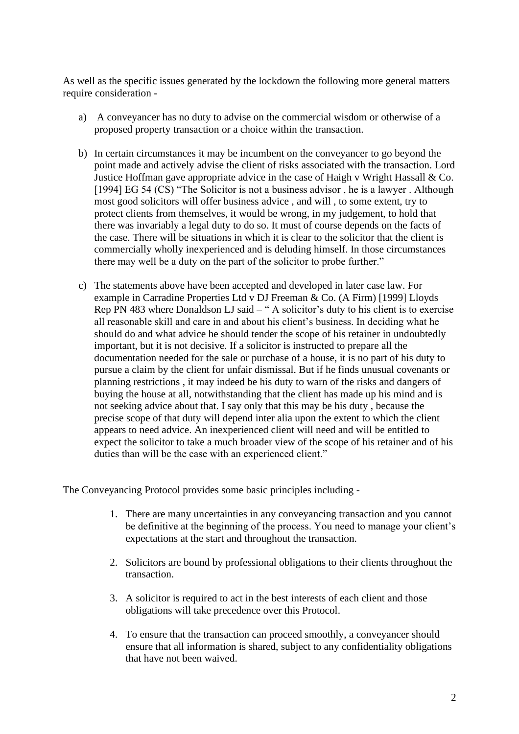As well as the specific issues generated by the lockdown the following more general matters require consideration -

- a) A conveyancer has no duty to advise on the commercial wisdom or otherwise of a proposed property transaction or a choice within the transaction.
- b) In certain circumstances it may be incumbent on the conveyancer to go beyond the point made and actively advise the client of risks associated with the transaction. Lord Justice Hoffman gave appropriate advice in the case of Haigh v Wright Hassall & Co. [1994] EG 54 (CS) "The Solicitor is not a business advisor, he is a lawyer. Although most good solicitors will offer business advice , and will , to some extent, try to protect clients from themselves, it would be wrong, in my judgement, to hold that there was invariably a legal duty to do so. It must of course depends on the facts of the case. There will be situations in which it is clear to the solicitor that the client is commercially wholly inexperienced and is deluding himself. In those circumstances there may well be a duty on the part of the solicitor to probe further."
- c) The statements above have been accepted and developed in later case law. For example in Carradine Properties Ltd v DJ Freeman & Co. (A Firm) [1999] Lloyds Rep PN 483 where Donaldson LJ said – " A solicitor's duty to his client is to exercise all reasonable skill and care in and about his client's business. In deciding what he should do and what advice he should tender the scope of his retainer in undoubtedly important, but it is not decisive. If a solicitor is instructed to prepare all the documentation needed for the sale or purchase of a house, it is no part of his duty to pursue a claim by the client for unfair dismissal. But if he finds unusual covenants or planning restrictions , it may indeed be his duty to warn of the risks and dangers of buying the house at all, notwithstanding that the client has made up his mind and is not seeking advice about that. I say only that this may be his duty , because the precise scope of that duty will depend inter alia upon the extent to which the client appears to need advice. An inexperienced client will need and will be entitled to expect the solicitor to take a much broader view of the scope of his retainer and of his duties than will be the case with an experienced client."

The Conveyancing Protocol provides some basic principles including -

- 1. There are many uncertainties in any conveyancing transaction and you cannot be definitive at the beginning of the process. You need to manage your client's expectations at the start and throughout the transaction.
- 2. Solicitors are bound by professional obligations to their clients throughout the transaction.
- 3. A solicitor is required to act in the best interests of each client and those obligations will take precedence over this Protocol.
- 4. To ensure that the transaction can proceed smoothly, a conveyancer should ensure that all information is shared, subject to any confidentiality obligations that have not been waived.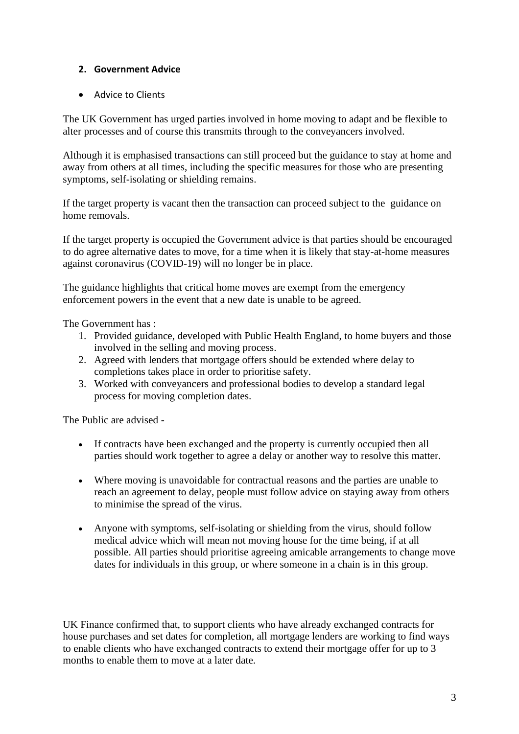## **2. Government Advice**

• Advice to Clients

The UK Government has urged parties involved in home moving to adapt and be flexible to alter processes and of course this transmits through to the conveyancers involved.

Although it is emphasised transactions can still proceed but the guidance to stay at home and away from others at all times, including the specific measures for those who are presenting symptoms, self-isolating or shielding remains.

If the target property is vacant then the transaction can proceed subject to the guidance on home removals.

If the target property is occupied the Government advice is that parties should be encouraged to do agree alternative dates to move, for a time when it is likely that stay-at-home measures against coronavirus (COVID-19) will no longer be in place.

The guidance highlights that critical home moves are exempt from the emergency enforcement powers in the event that a new date is unable to be agreed.

The Government has :

- 1. Provided guidance, developed with Public Health England, to home buyers and those involved in the selling and moving process.
- 2. Agreed with lenders that mortgage offers should be extended where delay to completions takes place in order to prioritise safety.
- 3. Worked with conveyancers and professional bodies to develop a standard legal process for moving completion dates.

The Public are advised **-**

- If contracts have been exchanged and the property is currently occupied then all parties should work together to agree a delay or another way to resolve this matter.
- Where moving is unavoidable for contractual reasons and the parties are unable to reach an agreement to delay, people must follow advice on staying away from others to minimise the spread of the virus.
- Anyone with symptoms, self-isolating or shielding from the virus, should follow medical advice which will mean not moving house for the time being, if at all possible. All parties should prioritise agreeing amicable arrangements to change move dates for individuals in this group, or where someone in a chain is in this group.

UK Finance confirmed that, to support clients who have already exchanged contracts for house purchases and set dates for completion, all mortgage lenders are working to find ways to enable clients who have exchanged contracts to extend their mortgage offer for up to 3 months to enable them to move at a later date.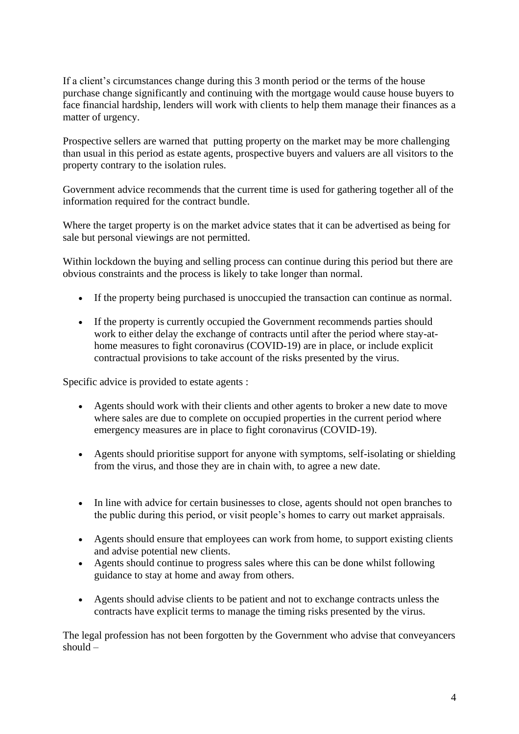If a client's circumstances change during this 3 month period or the terms of the house purchase change significantly and continuing with the mortgage would cause house buyers to face financial hardship, lenders will work with clients to help them manage their finances as a matter of urgency.

Prospective sellers are warned that putting property on the market may be more challenging than usual in this period as estate agents, prospective buyers and valuers are all visitors to the property contrary to the isolation rules.

Government advice recommends that the current time is used for gathering together all of the information required for the contract bundle.

Where the target property is on the market advice states that it can be advertised as being for sale but personal viewings are not permitted.

Within lockdown the buying and selling process can continue during this period but there are obvious constraints and the process is likely to take longer than normal.

- If the property being purchased is unoccupied the transaction can continue as normal.
- If the property is currently occupied the Government recommends parties should work to either delay the exchange of contracts until after the period where stay-athome measures to fight coronavirus (COVID-19) are in place, or include explicit contractual provisions to take account of the risks presented by the virus.

Specific advice is provided to estate agents :

- Agents should work with their clients and other agents to broker a new date to move where sales are due to complete on occupied properties in the current period where emergency measures are in place to fight coronavirus (COVID-19).
- Agents should prioritise support for anyone with symptoms, self-isolating or shielding from the virus, and those they are in chain with, to agree a new date.
- In line with advice for certain businesses to close, agents should not open branches to the public during this period, or visit people's homes to carry out market appraisals.
- Agents should ensure that employees can work from home, to support existing clients and advise potential new clients.
- Agents should continue to progress sales where this can be done whilst following guidance to stay at home and away from others.
- Agents should advise clients to be patient and not to exchange contracts unless the contracts have explicit terms to manage the timing risks presented by the virus.

The legal profession has not been forgotten by the Government who advise that conveyancers should –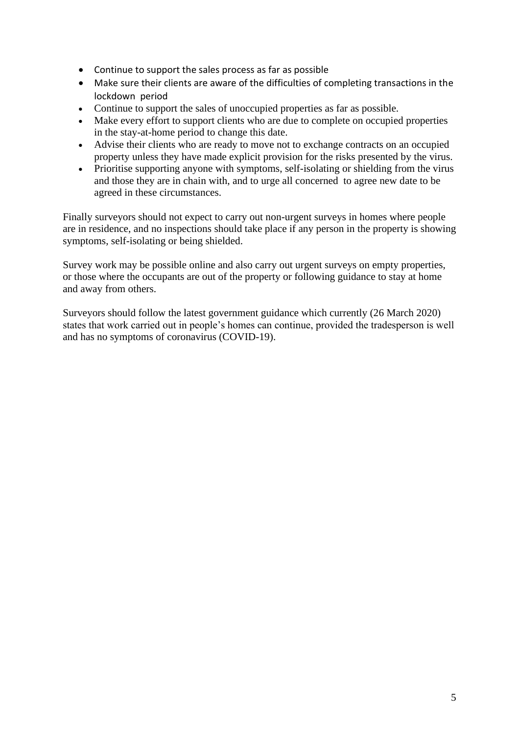- Continue to support the sales process as far as possible
- Make sure their clients are aware of the difficulties of completing transactions in the lockdown period
- Continue to support the sales of unoccupied properties as far as possible.
- Make every effort to support clients who are due to complete on occupied properties in the stay-at-home period to change this date.
- Advise their clients who are ready to move not to exchange contracts on an occupied property unless they have made explicit provision for the risks presented by the virus.
- Prioritise supporting anyone with symptoms, self-isolating or shielding from the virus and those they are in chain with, and to urge all concerned to agree new date to be agreed in these circumstances.

Finally surveyors should not expect to carry out non-urgent surveys in homes where people are in residence, and no inspections should take place if any person in the property is showing symptoms, self-isolating or being shielded.

Survey work may be possible online and also carry out urgent surveys on empty properties, or those where the occupants are out of the property or following guidance to stay at home and away from others.

Surveyors should follow the latest government guidance which currently (26 March 2020) states that work carried out in people's homes can continue, provided the tradesperson is well and has no symptoms of coronavirus (COVID-19).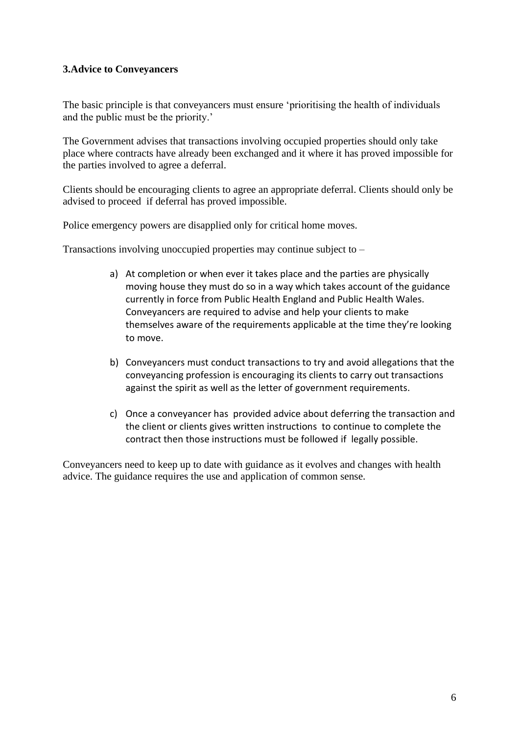## **3.Advice to Conveyancers**

The basic principle is that conveyancers must ensure 'prioritising the health of individuals and the public must be the priority.'

The Government advises that transactions involving occupied properties should only take place where contracts have already been exchanged and it where it has proved impossible for the parties involved to agree a deferral.

Clients should be encouraging clients to agree an appropriate deferral. Clients should only be advised to proceed if deferral has proved impossible.

Police emergency powers are disapplied only for critical home moves.

Transactions involving unoccupied properties may continue subject to –

- a) At completion or when ever it takes place and the parties are physically moving house they must do so in a way which takes account of the guidance currently in force from Public Health England and Public Health Wales. Conveyancers are required to advise and help your clients to make themselves aware of the requirements applicable at the time they're looking to move.
- b) Conveyancers must conduct transactions to try and avoid allegations that the conveyancing profession is encouraging its clients to carry out transactions against the spirit as well as the letter of government requirements.
- c) Once a conveyancer has provided advice about deferring the transaction and the client or clients gives written instructions to continue to complete the contract then those instructions must be followed if legally possible.

Conveyancers need to keep up to date with guidance as it evolves and changes with health advice. The guidance requires the use and application of common sense.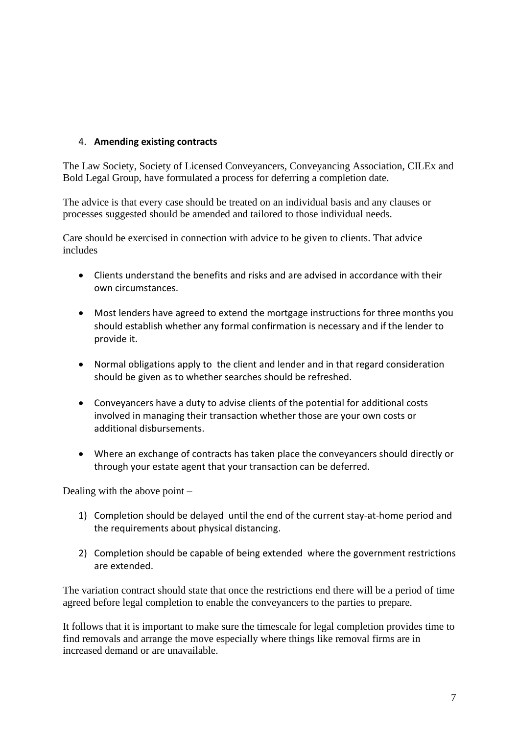## 4. **Amending existing contracts**

The Law Society, Society of Licensed Conveyancers, Conveyancing Association, CILEx and Bold Legal Group, have formulated a process for deferring a completion date.

The advice is that every case should be treated on an individual basis and any clauses or processes suggested should be amended and tailored to those individual needs.

Care should be exercised in connection with advice to be given to clients. That advice includes

- Clients understand the benefits and risks and are advised in accordance with their own circumstances.
- Most lenders have agreed to extend the mortgage instructions for three months you should establish whether any formal confirmation is necessary and if the lender to provide it.
- Normal obligations apply to the client and lender and in that regard consideration should be given as to whether searches should be refreshed.
- Conveyancers have a duty to advise clients of the potential for additional costs involved in managing their transaction whether those are your own costs or additional disbursements.
- Where an exchange of contracts has taken place the conveyancers should directly or through your estate agent that your transaction can be deferred.

Dealing with the above point –

- 1) Completion should be delayed until the end of the current stay-at-home period and the requirements about physical distancing.
- 2) Completion should be capable of being extended where the government restrictions are extended.

The variation contract should state that once the restrictions end there will be a period of time agreed before legal completion to enable the conveyancers to the parties to prepare.

It follows that it is important to make sure the timescale for legal completion provides time to find removals and arrange the move especially where things like removal firms are in increased demand or are unavailable.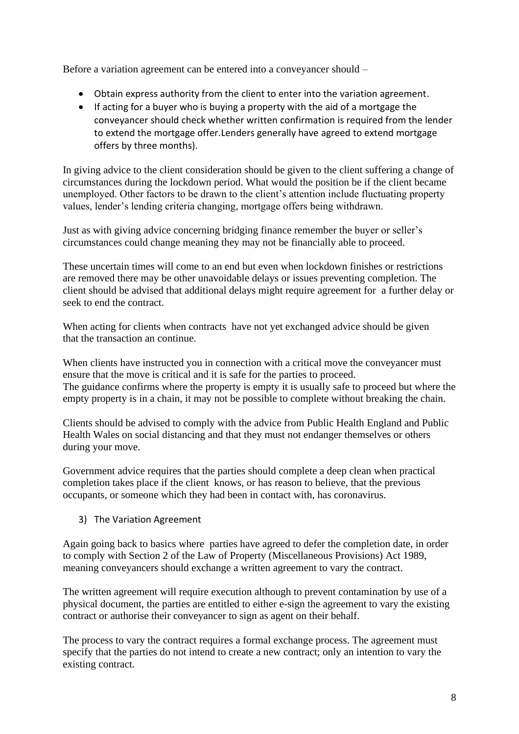Before a variation agreement can be entered into a conveyancer should –

- Obtain express authority from the client to enter into the variation agreement.
- If acting for a buyer who is buying a property with the aid of a mortgage the conveyancer should check whether written confirmation is required from the lender to extend the mortgage offer.Lenders generally have agreed to extend mortgage offers by three months).

In giving advice to the client consideration should be given to the client suffering a change of circumstances during the lockdown period. What would the position be if the client became unemployed. Other factors to be drawn to the client's attention include fluctuating property values, lender's lending criteria changing, mortgage offers being withdrawn.

Just as with giving advice concerning bridging finance remember the buyer or seller's circumstances could change meaning they may not be financially able to proceed.

These uncertain times will come to an end but even when lockdown finishes or restrictions are removed there may be other unavoidable delays or issues preventing completion. The client should be advised that additional delays might require agreement for a further delay or seek to end the contract.

When acting for clients when contractshave not yet exchanged advice should be given that the transaction an continue.

When clients have instructed you in connection with a critical move the conveyancer must ensure that the move is critical and it is safe for the parties to proceed. The guidance confirms where the property is empty it is usually safe to proceed but where the empty property is in a chain, it may not be possible to complete without breaking the chain.

Clients should be advised to comply with the advice from Public Health England and Public Health Wales on social distancing and that they must not endanger themselves or others during your move.

Government advice requires that the parties should complete a deep clean when practical completion takes place if the client knows, or has reason to believe, that the previous occupants, or someone which they had been in contact with, has coronavirus.

3) The Variation Agreement

Again going back to basics where parties have agreed to defer the completion date, in order to comply with Section 2 of the Law of Property (Miscellaneous Provisions) Act 1989, meaning conveyancers should exchange a written agreement to vary the contract.

The written agreement will require execution although to prevent contamination by use of a physical document, the parties are entitled to either e-sign the agreement to vary the existing contract or authorise their conveyancer to sign as agent on their behalf.

The process to vary the contract requires a formal exchange process. The agreement must specify that the parties do not intend to create a new contract; only an intention to vary the existing contract.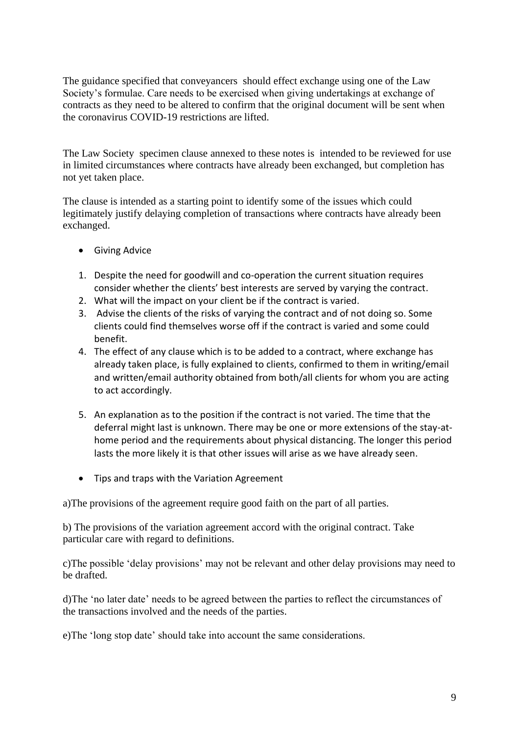The guidance specified that conveyancers should effect exchange using one of the Law Society's formulae. Care needs to be exercised when giving undertakings at exchange of contracts as they need to be altered to confirm that the original document will be sent when the coronavirus COVID-19 restrictions are lifted.

The Law Society specimen clause annexed to these notes is intended to be reviewed for use in limited circumstances where contracts have already been exchanged, but completion has not yet taken place.

The clause is intended as a starting point to identify some of the issues which could legitimately justify delaying completion of transactions where contracts have already been exchanged.

- Giving Advice
- 1. Despite the need for goodwill and co-operation the current situation requires consider whether the clients' best interests are served by varying the contract.
- 2. What will the impact on your client be if the contract is varied.
- 3. Advise the clients of the risks of varying the contract and of not doing so. Some clients could find themselves worse off if the contract is varied and some could benefit.
- 4. The effect of any clause which is to be added to a contract, where exchange has already taken place, is fully explained to clients, confirmed to them in writing/email and written/email authority obtained from both/all clients for whom you are acting to act accordingly.
- 5. An explanation as to the position if the contract is not varied. The time that the deferral might last is unknown. There may be one or more extensions of the stay-athome period and the requirements about physical distancing. The longer this period lasts the more likely it is that other issues will arise as we have already seen.
- Tips and traps with the Variation Agreement

a)The provisions of the agreement require good faith on the part of all parties.

b) The provisions of the variation agreement accord with the original contract. Take particular care with regard to definitions.

c)The possible 'delay provisions' may not be relevant and other delay provisions may need to be drafted.

d)The 'no later date' needs to be agreed between the parties to reflect the circumstances of the transactions involved and the needs of the parties.

e)The 'long stop date' should take into account the same considerations.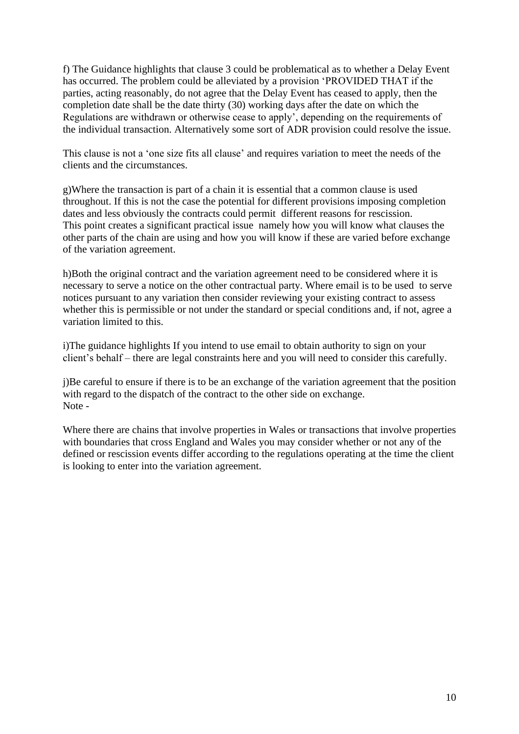f) The Guidance highlights that clause 3 could be problematical as to whether a Delay Event has occurred. The problem could be alleviated by a provision 'PROVIDED THAT if the parties, acting reasonably, do not agree that the Delay Event has ceased to apply, then the completion date shall be the date thirty (30) working days after the date on which the Regulations are withdrawn or otherwise cease to apply', depending on the requirements of the individual transaction. Alternatively some sort of ADR provision could resolve the issue.

This clause is not a 'one size fits all clause' and requires variation to meet the needs of the clients and the circumstances.

g)Where the transaction is part of a chain it is essential that a common clause is used throughout. If this is not the case the potential for different provisions imposing completion dates and less obviously the contracts could permit different reasons for rescission. This point creates a significant practical issue namely how you will know what clauses the other parts of the chain are using and how you will know if these are varied before exchange of the variation agreement.

h)Both the original contract and the variation agreement need to be considered where it is necessary to serve a notice on the other contractual party. Where email is to be used to serve notices pursuant to any variation then consider reviewing your existing contract to assess whether this is permissible or not under the standard or special conditions and, if not, agree a variation limited to this.

i)The guidance highlights If you intend to use email to obtain authority to sign on your client's behalf – there are legal constraints here and you will need to consider this carefully.

j)Be careful to ensure if there is to be an exchange of the variation agreement that the position with regard to the dispatch of the contract to the other side on exchange. Note -

Where there are chains that involve properties in Wales or transactions that involve properties with boundaries that cross England and Wales you may consider whether or not any of the defined or rescission events differ according to the regulations operating at the time the client is looking to enter into the variation agreement.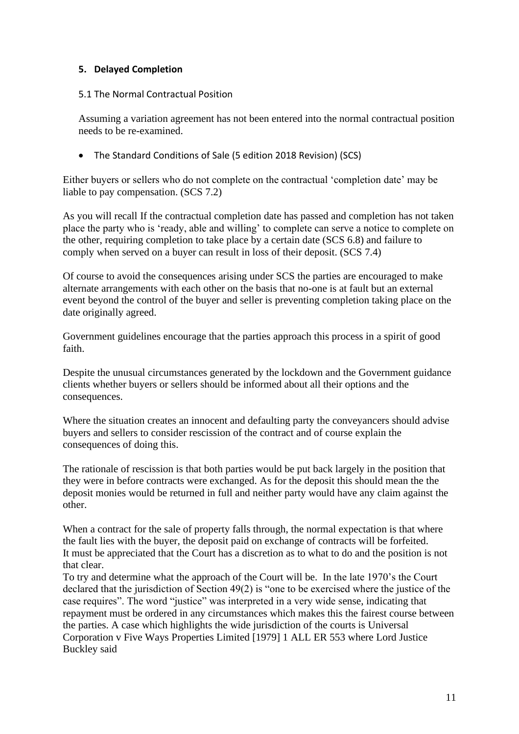### **5. Delayed Completion**

#### 5.1 The Normal Contractual Position

Assuming a variation agreement has not been entered into the normal contractual position needs to be re-examined.

• The Standard Conditions of Sale (5 edition 2018 Revision) (SCS)

Either buyers or sellers who do not complete on the contractual 'completion date' may be liable to pay compensation. (SCS 7.2)

As you will recall If the contractual completion date has passed and completion has not taken place the party who is 'ready, able and willing' to complete can serve a notice to complete on the other, requiring completion to take place by a certain date (SCS 6.8) and failure to comply when served on a buyer can result in loss of their deposit. (SCS 7.4)

Of course to avoid the consequences arising under SCS the parties are encouraged to make alternate arrangements with each other on the basis that no-one is at fault but an external event beyond the control of the buyer and seller is preventing completion taking place on the date originally agreed.

Government guidelines encourage that the parties approach this process in a spirit of good faith.

Despite the unusual circumstances generated by the lockdown and the Government guidance clients whether buyers or sellers should be informed about all their options and the consequences.

Where the situation creates an innocent and defaulting party the conveyancers should advise buyers and sellers to consider rescission of the contract and of course explain the consequences of doing this.

The rationale of rescission is that both parties would be put back largely in the position that they were in before contracts were exchanged. As for the deposit this should mean the the deposit monies would be returned in full and neither party would have any claim against the other.

When a contract for the sale of property falls through, the normal expectation is that where the fault lies with the buyer, the deposit paid on exchange of contracts will be forfeited. It must be appreciated that the Court has a discretion as to what to do and the position is not that clear.

To try and determine what the approach of the Court will be. In the late 1970's the Court declared that the jurisdiction of Section 49(2) is "one to be exercised where the justice of the case requires". The word "justice" was interpreted in a very wide sense, indicating that repayment must be ordered in any circumstances which makes this the fairest course between the parties. A case which highlights the wide jurisdiction of the courts is Universal Corporation v Five Ways Properties Limited [1979] 1 ALL ER 553 where Lord Justice Buckley said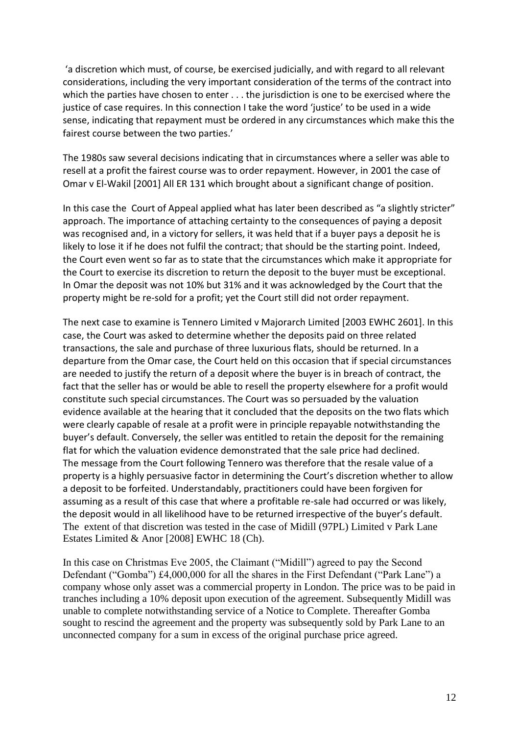'a discretion which must, of course, be exercised judicially, and with regard to all relevant considerations, including the very important consideration of the terms of the contract into which the parties have chosen to enter . . . the jurisdiction is one to be exercised where the justice of case requires. In this connection I take the word 'justice' to be used in a wide sense, indicating that repayment must be ordered in any circumstances which make this the fairest course between the two parties.'

The 1980s saw several decisions indicating that in circumstances where a seller was able to resell at a profit the fairest course was to order repayment. However, in 2001 the case of Omar v El-Wakil [2001] All ER 131 which brought about a significant change of position.

In this case the Court of Appeal applied what has later been described as "a slightly stricter" approach. The importance of attaching certainty to the consequences of paying a deposit was recognised and, in a victory for sellers, it was held that if a buyer pays a deposit he is likely to lose it if he does not fulfil the contract; that should be the starting point. Indeed, the Court even went so far as to state that the circumstances which make it appropriate for the Court to exercise its discretion to return the deposit to the buyer must be exceptional. In Omar the deposit was not 10% but 31% and it was acknowledged by the Court that the property might be re-sold for a profit; yet the Court still did not order repayment.

The next case to examine is Tennero Limited v Majorarch Limited [2003 EWHC 2601]. In this case, the Court was asked to determine whether the deposits paid on three related transactions, the sale and purchase of three luxurious flats, should be returned. In a departure from the Omar case, the Court held on this occasion that if special circumstances are needed to justify the return of a deposit where the buyer is in breach of contract, the fact that the seller has or would be able to resell the property elsewhere for a profit would constitute such special circumstances. The Court was so persuaded by the valuation evidence available at the hearing that it concluded that the deposits on the two flats which were clearly capable of resale at a profit were in principle repayable notwithstanding the buyer's default. Conversely, the seller was entitled to retain the deposit for the remaining flat for which the valuation evidence demonstrated that the sale price had declined. The message from the Court following Tennero was therefore that the resale value of a property is a highly persuasive factor in determining the Court's discretion whether to allow a deposit to be forfeited. Understandably, practitioners could have been forgiven for assuming as a result of this case that where a profitable re-sale had occurred or was likely, the deposit would in all likelihood have to be returned irrespective of the buyer's default. The extent of that discretion was tested in the case of Midill (97PL) Limited v Park Lane Estates Limited & Anor [2008] EWHC 18 (Ch).

In this case on Christmas Eve 2005, the Claimant ("Midill") agreed to pay the Second Defendant ("Gomba") £4,000,000 for all the shares in the First Defendant ("Park Lane") a company whose only asset was a commercial property in London. The price was to be paid in tranches including a 10% deposit upon execution of the agreement. Subsequently Midill was unable to complete notwithstanding service of a Notice to Complete. Thereafter Gomba sought to rescind the agreement and the property was subsequently sold by Park Lane to an unconnected company for a sum in excess of the original purchase price agreed.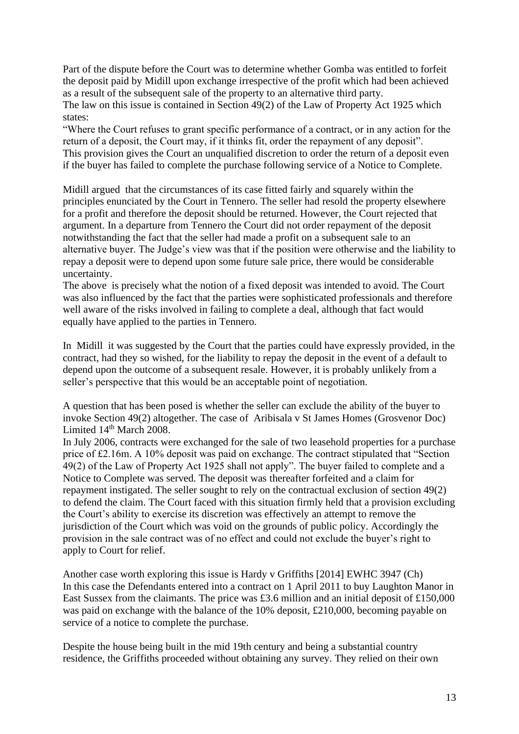Part of the dispute before the Court was to determine whether Gomba was entitled to forfeit the deposit paid by Midill upon exchange irrespective of the profit which had been achieved as a result of the subsequent sale of the property to an alternative third party.

The law on this issue is contained in Section 49(2) of the Law of Property Act 1925 which states:

"Where the Court refuses to grant specific performance of a contract, or in any action for the return of a deposit, the Court may, if it thinks fit, order the repayment of any deposit". This provision gives the Court an unqualified discretion to order the return of a deposit even if the buyer has failed to complete the purchase following service of a Notice to Complete.

Midill argued that the circumstances of its case fitted fairly and squarely within the principles enunciated by the Court in Tennero. The seller had resold the property elsewhere for a profit and therefore the deposit should be returned. However, the Court rejected that argument. In a departure from Tennero the Court did not order repayment of the deposit notwithstanding the fact that the seller had made a profit on a subsequent sale to an alternative buyer. The Judge's view was that if the position were otherwise and the liability to repay a deposit were to depend upon some future sale price, there would be considerable uncertainty.

The above is precisely what the notion of a fixed deposit was intended to avoid. The Court was also influenced by the fact that the parties were sophisticated professionals and therefore well aware of the risks involved in failing to complete a deal, although that fact would equally have applied to the parties in Tennero.

In Midill it was suggested by the Court that the parties could have expressly provided, in the contract, had they so wished, for the liability to repay the deposit in the event of a default to depend upon the outcome of a subsequent resale. However, it is probably unlikely from a seller's perspective that this would be an acceptable point of negotiation.

A question that has been posed is whether the seller can exclude the ability of the buyer to invoke Section 49(2) altogether. The case of Aribisala v St James Homes (Grosvenor Doc) Limited  $14<sup>th</sup>$  March 2008.

In July 2006, contracts were exchanged for the sale of two leasehold properties for a purchase price of £2.16m. A 10% deposit was paid on exchange. The contract stipulated that "Section 49(2) of the Law of Property Act 1925 shall not apply". The buyer failed to complete and a Notice to Complete was served. The deposit was thereafter forfeited and a claim for repayment instigated. The seller sought to rely on the contractual exclusion of section 49(2) to defend the claim. The Court faced with this situation firmly held that a provision excluding the Court's ability to exercise its discretion was effectively an attempt to remove the jurisdiction of the Court which was void on the grounds of public policy. Accordingly the provision in the sale contract was of no effect and could not exclude the buyer's right to apply to Court for relief.

Another case worth exploring this issue is Hardy v Griffiths [2014] EWHC 3947 (Ch) In this case the Defendants entered into a contract on 1 April 2011 to buy Laughton Manor in East Sussex from the claimants. The price was £3.6 million and an initial deposit of £150,000 was paid on exchange with the balance of the 10% deposit, £210,000, becoming payable on service of a notice to complete the purchase.

Despite the house being built in the mid 19th century and being a substantial country residence, the Griffiths proceeded without obtaining any survey. They relied on their own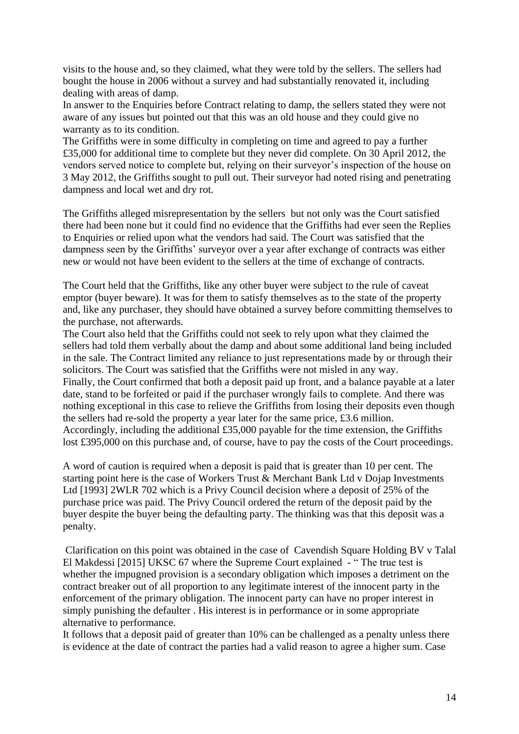visits to the house and, so they claimed, what they were told by the sellers. The sellers had bought the house in 2006 without a survey and had substantially renovated it, including dealing with areas of damp.

In answer to the Enquiries before Contract relating to damp, the sellers stated they were not aware of any issues but pointed out that this was an old house and they could give no warranty as to its condition.

The Griffiths were in some difficulty in completing on time and agreed to pay a further £35,000 for additional time to complete but they never did complete. On 30 April 2012, the vendors served notice to complete but, relying on their surveyor's inspection of the house on 3 May 2012, the Griffiths sought to pull out. Their surveyor had noted rising and penetrating dampness and local wet and dry rot.

The Griffiths alleged misrepresentation by the sellers but not only was the Court satisfied there had been none but it could find no evidence that the Griffiths had ever seen the Replies to Enquiries or relied upon what the vendors had said. The Court was satisfied that the dampness seen by the Griffiths' surveyor over a year after exchange of contracts was either new or would not have been evident to the sellers at the time of exchange of contracts.

The Court held that the Griffiths, like any other buyer were subject to the rule of caveat emptor (buyer beware). It was for them to satisfy themselves as to the state of the property and, like any purchaser, they should have obtained a survey before committing themselves to the purchase, not afterwards.

The Court also held that the Griffiths could not seek to rely upon what they claimed the sellers had told them verbally about the damp and about some additional land being included in the sale. The Contract limited any reliance to just representations made by or through their solicitors. The Court was satisfied that the Griffiths were not misled in any way. Finally, the Court confirmed that both a deposit paid up front, and a balance payable at a later date, stand to be forfeited or paid if the purchaser wrongly fails to complete. And there was nothing exceptional in this case to relieve the Griffiths from losing their deposits even though the sellers had re-sold the property a year later for the same price, £3.6 million. Accordingly, including the additional £35,000 payable for the time extension, the Griffiths lost £395,000 on this purchase and, of course, have to pay the costs of the Court proceedings.

A word of caution is required when a deposit is paid that is greater than 10 per cent. The starting point here is the case of Workers Trust & Merchant Bank Ltd v Dojap Investments Ltd [1993] 2WLR 702 which is a Privy Council decision where a deposit of 25% of the purchase price was paid. The Privy Council ordered the return of the deposit paid by the buyer despite the buyer being the defaulting party. The thinking was that this deposit was a penalty.

Clarification on this point was obtained in the case of Cavendish Square Holding BV v Talal El Makdessi [2015] UKSC 67 where the Supreme Court explained - " The true test is whether the impugned provision is a secondary obligation which imposes a detriment on the contract breaker out of all proportion to any legitimate interest of the innocent party in the enforcement of the primary obligation. The innocent party can have no proper interest in simply punishing the defaulter . His interest is in performance or in some appropriate alternative to performance.

It follows that a deposit paid of greater than 10% can be challenged as a penalty unless there is evidence at the date of contract the parties had a valid reason to agree a higher sum. Case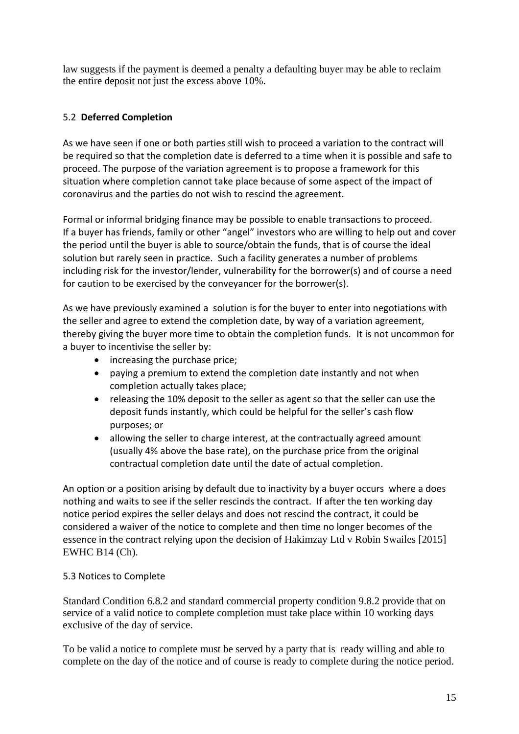law suggests if the payment is deemed a penalty a defaulting buyer may be able to reclaim the entire deposit not just the excess above 10%.

## 5.2 **Deferred Completion**

As we have seen if one or both parties still wish to proceed a variation to the contract will be required so that the completion date is deferred to a time when it is possible and safe to proceed. The purpose of the variation agreement is to propose a framework for this situation where completion cannot take place because of some aspect of the impact of coronavirus and the parties do not wish to rescind the agreement.

Formal or informal bridging finance may be possible to enable transactions to proceed. If a buyer has friends, family or other "angel" investors who are willing to help out and cover the period until the buyer is able to source/obtain the funds, that is of course the ideal solution but rarely seen in practice. Such a facility generates a number of problems including risk for the investor/lender, vulnerability for the borrower(s) and of course a need for caution to be exercised by the conveyancer for the borrower(s).

As we have previously examined a solution is for the buyer to enter into negotiations with the seller and agree to extend the completion date, by way of a variation agreement, thereby giving the buyer more time to obtain the completion funds. It is not uncommon for a buyer to incentivise the seller by:

- increasing the purchase price;
- paying a premium to extend the completion date instantly and not when completion actually takes place;
- releasing the 10% deposit to the seller as agent so that the seller can use the deposit funds instantly, which could be helpful for the seller's cash flow purposes; or
- allowing the seller to charge interest, at the contractually agreed amount (usually 4% above the base rate), on the purchase price from the original contractual completion date until the date of actual completion.

An option or a position arising by default due to inactivity by a buyer occurs where a does nothing and waits to see if the seller rescinds the contract. If after the ten working day notice period expires the seller delays and does not rescind the contract, it could be considered a waiver of the notice to complete and then time no longer becomes of the essence in the contract relying upon the decision of Hakimzay Ltd v Robin Swailes [2015] EWHC B14 (Ch).

## 5.3 Notices to Complete

Standard Condition 6.8.2 and standard commercial property condition 9.8.2 provide that on service of a valid notice to complete completion must take place within 10 working days exclusive of the day of service.

To be valid a notice to complete must be served by a party that is ready willing and able to complete on the day of the notice and of course is ready to complete during the notice period.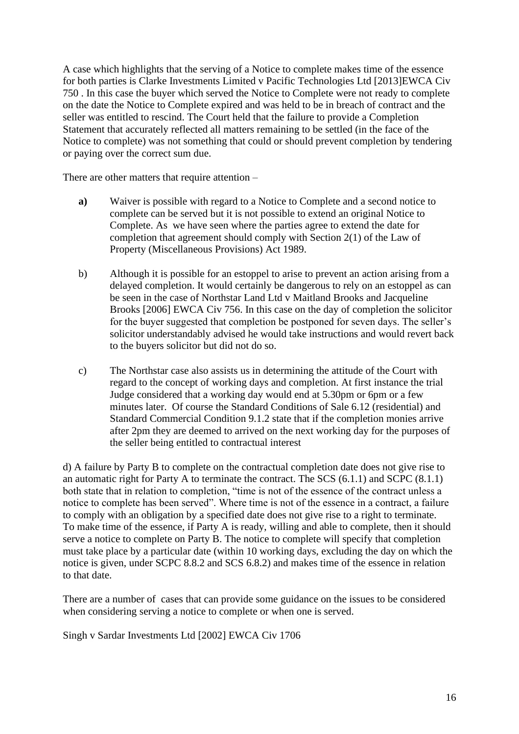A case which highlights that the serving of a Notice to complete makes time of the essence for both parties is Clarke Investments Limited v Pacific Technologies Ltd [2013]EWCA Civ 750 . In this case the buyer which served the Notice to Complete were not ready to complete on the date the Notice to Complete expired and was held to be in breach of contract and the seller was entitled to rescind. The Court held that the failure to provide a Completion Statement that accurately reflected all matters remaining to be settled (in the face of the Notice to complete) was not something that could or should prevent completion by tendering or paying over the correct sum due.

There are other matters that require attention –

- **a)** Waiver is possible with regard to a Notice to Complete and a second notice to complete can be served but it is not possible to extend an original Notice to Complete. As we have seen where the parties agree to extend the date for completion that agreement should comply with Section 2(1) of the Law of Property (Miscellaneous Provisions) Act 1989.
- b) Although it is possible for an estoppel to arise to prevent an action arising from a delayed completion. It would certainly be dangerous to rely on an estoppel as can be seen in the case of Northstar Land Ltd v Maitland Brooks and Jacqueline Brooks [2006] EWCA Civ 756. In this case on the day of completion the solicitor for the buyer suggested that completion be postponed for seven days. The seller's solicitor understandably advised he would take instructions and would revert back to the buyers solicitor but did not do so.
- c) The Northstar case also assists us in determining the attitude of the Court with regard to the concept of working days and completion. At first instance the trial Judge considered that a working day would end at 5.30pm or 6pm or a few minutes later. Of course the Standard Conditions of Sale 6.12 (residential) and Standard Commercial Condition 9.1.2 state that if the completion monies arrive after 2pm they are deemed to arrived on the next working day for the purposes of the seller being entitled to contractual interest

d) A failure by Party B to complete on the contractual completion date does not give rise to an automatic right for Party A to terminate the contract. The SCS (6.1.1) and SCPC (8.1.1) both state that in relation to completion, "time is not of the essence of the contract unless a notice to complete has been served". Where time is not of the essence in a contract, a failure to comply with an obligation by a specified date does not give rise to a right to terminate. To make time of the essence, if Party A is ready, willing and able to complete, then it should serve a notice to complete on Party B. The notice to complete will specify that completion must take place by a particular date (within 10 working days, excluding the day on which the notice is given, under SCPC 8.8.2 and SCS 6.8.2) and makes time of the essence in relation to that date.

There are a number of cases that can provide some guidance on the issues to be considered when considering serving a notice to complete or when one is served.

[Singh v Sardar Investments Ltd](http://www.bailii.org/cgi-bin/markup.cgi?doc=/ew/cases/EWCA/Civ/2002/1706.html) [2002] EWCA Civ 1706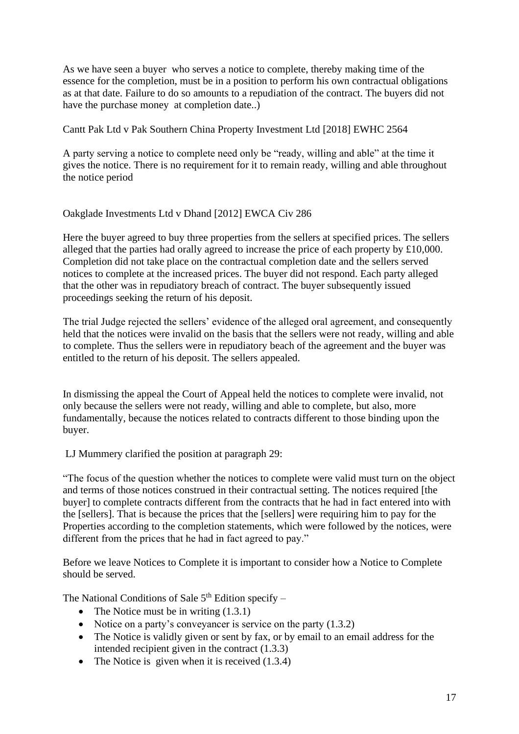As we have seen a buyer who serves a notice to complete, thereby making time of the essence for the completion, must be in a position to perform his own contractual obligations as at that date. Failure to do so amounts to a repudiation of the contract. The buyers did not have the purchase money at completion date..)

[Cantt Pak Ltd v Pak Southern China Property Investment Ltd](http://www.bailii.org/ew/cases/EWHC/Ch/2018/2564.html) [2018] EWHC 2564

A party serving a notice to complete need only be "ready, willing and able" at the time it gives the notice. There is no requirement for it to remain ready, willing and able throughout the notice period

### [Oakglade Investments Ltd v Dhand](http://www.bailii.org/ew/cases/EWCA/Civ/2012/286.html) [2012] EWCA Civ 286

Here the buyer agreed to buy three properties from the sellers at specified prices. The sellers alleged that the parties had orally agreed to increase the price of each property by £10,000. Completion did not take place on the contractual completion date and the sellers served notices to complete at the increased prices. The buyer did not respond. Each party alleged that the other was in repudiatory breach of contract. The buyer subsequently issued proceedings seeking the return of his deposit.

The trial Judge rejected the sellers' evidence of the alleged oral agreement, and consequently held that the notices were invalid on the basis that the sellers were not ready, willing and able to complete. Thus the sellers were in repudiatory beach of the agreement and the buyer was entitled to the return of his deposit. The sellers appealed.

In dismissing the appeal the Court of Appeal held the notices to complete were invalid, not only because the sellers were not ready, willing and able to complete, but also, more fundamentally, because the notices related to contracts different to those binding upon the buyer.

LJ Mummery clarified the position at paragraph 29:

"The focus of the question whether the notices to complete were valid must turn on the object and terms of those notices construed in their contractual setting. The notices required [the buyer] to complete contracts different from the contracts that he had in fact entered into with the [sellers]. That is because the prices that the [sellers] were requiring him to pay for the Properties according to the completion statements, which were followed by the notices, were different from the prices that he had in fact agreed to pay."

Before we leave Notices to Complete it is important to consider how a Notice to Complete should be served.

The National Conditions of Sale  $5<sup>th</sup>$  Edition specify –

- The Notice must be in writing  $(1.3.1)$
- Notice on a party's conveyancer is service on the party (1.3.2)
- The Notice is validly given or sent by fax, or by email to an email address for the intended recipient given in the contract (1.3.3)
- The Notice is given when it is received  $(1.3.4)$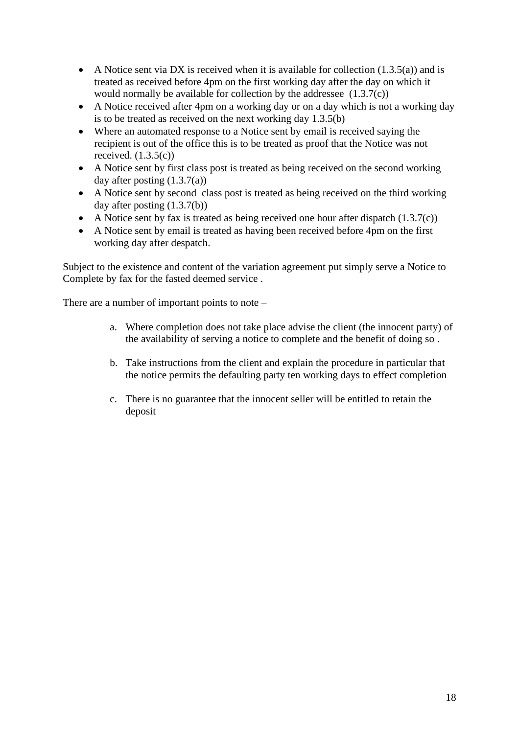- A Notice sent via DX is received when it is available for collection  $(1.3.5(a))$  and is treated as received before 4pm on the first working day after the day on which it would normally be available for collection by the addressee (1.3.7(c))
- A Notice received after 4pm on a working day or on a day which is not a working day is to be treated as received on the next working day 1.3.5(b)
- Where an automated response to a Notice sent by email is received saying the recipient is out of the office this is to be treated as proof that the Notice was not received.  $(1.3.5(c))$
- A Notice sent by first class post is treated as being received on the second working day after posting (1.3.7(a))
- A Notice sent by second class post is treated as being received on the third working day after posting (1.3.7(b))
- A Notice sent by fax is treated as being received one hour after dispatch (1.3.7(c))
- A Notice sent by email is treated as having been received before 4pm on the first working day after despatch.

Subject to the existence and content of the variation agreement put simply serve a Notice to Complete by fax for the fasted deemed service .

There are a number of important points to note –

- a. Where completion does not take place advise the client (the innocent party) of the availability of serving a notice to complete and the benefit of doing so .
- b. Take instructions from the client and explain the procedure in particular that the notice permits the defaulting party ten working days to effect completion
- c. There is no guarantee that the innocent seller will be entitled to retain the deposit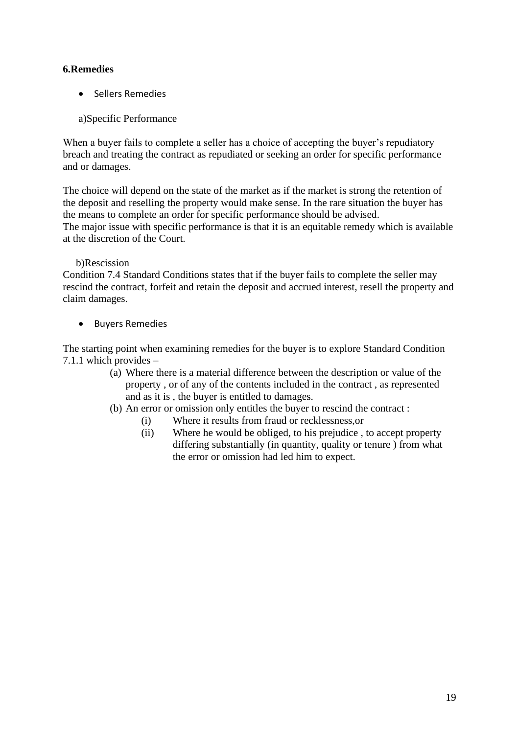## **6.Remedies**

- Sellers Remedies
- a)Specific Performance

When a buyer fails to complete a seller has a choice of accepting the buyer's repudiatory breach and treating the contract as repudiated or seeking an order for specific performance and or damages.

The choice will depend on the state of the market as if the market is strong the retention of the deposit and reselling the property would make sense. In the rare situation the buyer has the means to complete an order for specific performance should be advised. The major issue with specific performance is that it is an equitable remedy which is available at the discretion of the Court.

## b)Rescission

Condition 7.4 Standard Conditions states that if the buyer fails to complete the seller may rescind the contract, forfeit and retain the deposit and accrued interest, resell the property and claim damages.

• Buyers Remedies

The starting point when examining remedies for the buyer is to explore Standard Condition 7.1.1 which provides –

- (a) Where there is a material difference between the description or value of the property , or of any of the contents included in the contract , as represented and as it is , the buyer is entitled to damages.
- (b) An error or omission only entitles the buyer to rescind the contract :
	- (i) Where it results from fraud or recklessness,or
	- (ii) Where he would be obliged, to his prejudice , to accept property differing substantially (in quantity, quality or tenure ) from what the error or omission had led him to expect.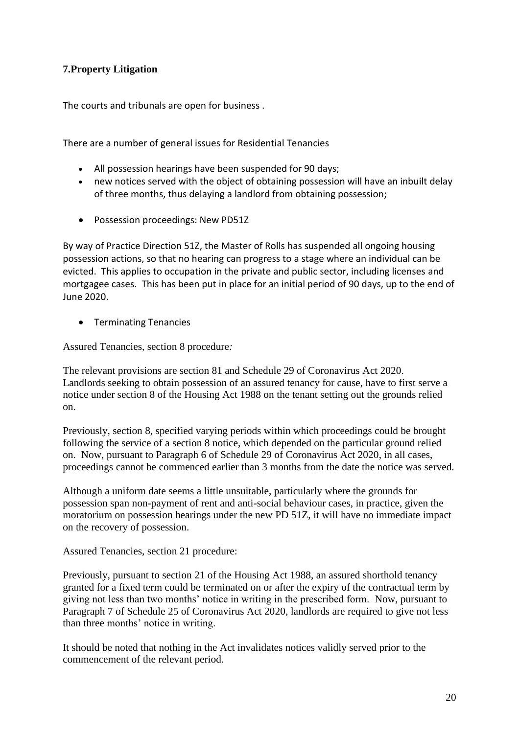## **7.Property Litigation**

The courts and tribunals are open for business .

There are a number of general issues for Residential Tenancies

- All possession hearings have been suspended for 90 days;
- new notices served with the object of obtaining possession will have an inbuilt delay of three months, thus delaying a landlord from obtaining possession;
- Possession proceedings: New PD51Z

By way of Practice Direction 51Z, the Master of Rolls has suspended all ongoing housing possession actions, so that no hearing can progress to a stage where an individual can be evicted. This applies to occupation in the private and public sector, including licenses and mortgagee cases. This has been put in place for an initial period of 90 days, up to the end of June 2020.

• Terminating Tenancies

Assured Tenancies, section 8 procedure*:*

The relevant provisions are section 81 and Schedule 29 of Coronavirus Act 2020. Landlords seeking to obtain possession of an assured tenancy for cause, have to first serve a notice under section 8 of the Housing Act 1988 on the tenant setting out the grounds relied on.

Previously, section 8, specified varying periods within which proceedings could be brought following the service of a section 8 notice, which depended on the particular ground relied on. Now, pursuant to Paragraph 6 of Schedule 29 of Coronavirus Act 2020, in all cases, proceedings cannot be commenced earlier than 3 months from the date the notice was served.

Although a uniform date seems a little unsuitable, particularly where the grounds for possession span non-payment of rent and anti-social behaviour cases, in practice, given the moratorium on possession hearings under the new PD 51Z, it will have no immediate impact on the recovery of possession.

Assured Tenancies, section 21 procedure:

Previously, pursuant to section 21 of the Housing Act 1988, an assured shorthold tenancy granted for a fixed term could be terminated on or after the expiry of the contractual term by giving not less than two months' notice in writing in the prescribed form. Now, pursuant to Paragraph 7 of Schedule 25 of Coronavirus Act 2020, landlords are required to give not less than three months' notice in writing.

It should be noted that nothing in the Act invalidates notices validly served prior to the commencement of the relevant period.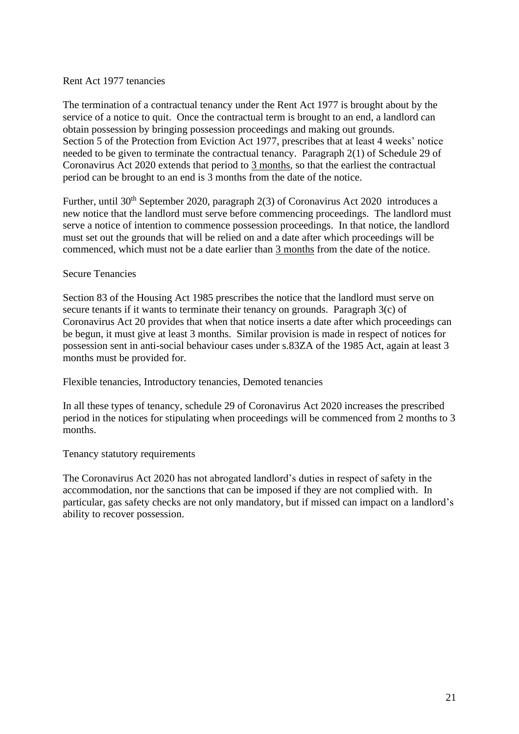#### Rent Act 1977 tenancies

The termination of a contractual tenancy under the Rent Act 1977 is brought about by the service of a notice to quit. Once the contractual term is brought to an end, a landlord can obtain possession by bringing possession proceedings and making out grounds. Section 5 of the Protection from Eviction Act 1977, prescribes that at least 4 weeks' notice needed to be given to terminate the contractual tenancy. Paragraph 2(1) of Schedule 29 of Coronavirus Act 2020 extends that period to 3 months, so that the earliest the contractual period can be brought to an end is 3 months from the date of the notice.

Further, until 30<sup>th</sup> September 2020, paragraph 2(3) of Coronavirus Act 2020 introduces a new notice that the landlord must serve before commencing proceedings. The landlord must serve a notice of intention to commence possession proceedings. In that notice, the landlord must set out the grounds that will be relied on and a date after which proceedings will be commenced, which must not be a date earlier than 3 months from the date of the notice.

### Secure Tenancies

Section 83 of the Housing Act 1985 prescribes the notice that the landlord must serve on secure tenants if it wants to terminate their tenancy on grounds. Paragraph 3(c) of Coronavirus Act 20 provides that when that notice inserts a date after which proceedings can be begun, it must give at least 3 months. Similar provision is made in respect of notices for possession sent in anti-social behaviour cases under s.83ZA of the 1985 Act, again at least 3 months must be provided for.

Flexible tenancies, Introductory tenancies, Demoted tenancies

In all these types of tenancy, schedule 29 of Coronavirus Act 2020 increases the prescribed period in the notices for stipulating when proceedings will be commenced from 2 months to 3 months.

Tenancy statutory requirements

The Coronavirus Act 2020 has not abrogated landlord's duties in respect of safety in the accommodation, nor the sanctions that can be imposed if they are not complied with. In particular, gas safety checks are not only mandatory, but if missed can impact on a landlord's ability to recover possession.